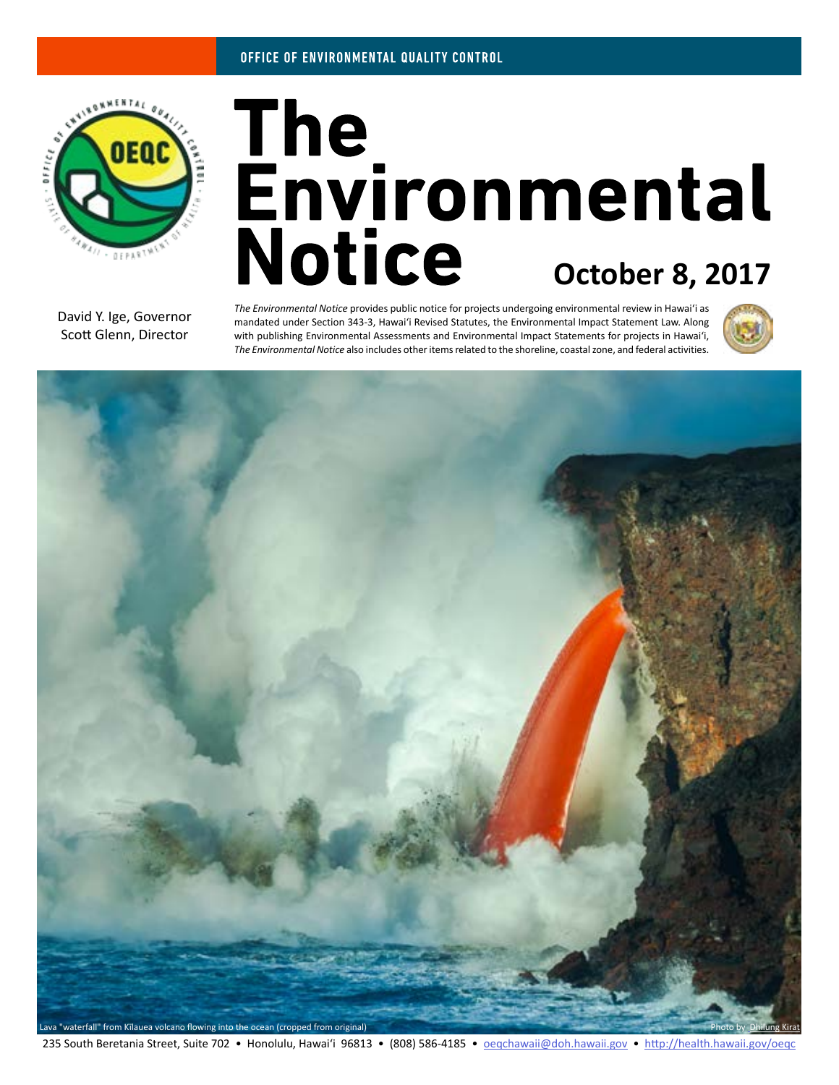

# The<br>Environmental **Notice October 8, 2017**

David Y. Ige, Governor Scott Glenn, Director

*The Environmental Notice* provides public notice for projects undergoing environmental review in Hawaiʻi as mandated under Section 343-3, Hawaiʻi Revised Statutes, the Environmental Impact Statement Law. Along with publishing Environmental Assessments and Environmental Impact Statements for projects in Hawaiʻi, *The Environmental Notice* also includes other items related to the shoreline, coastal zone, and federal activities.



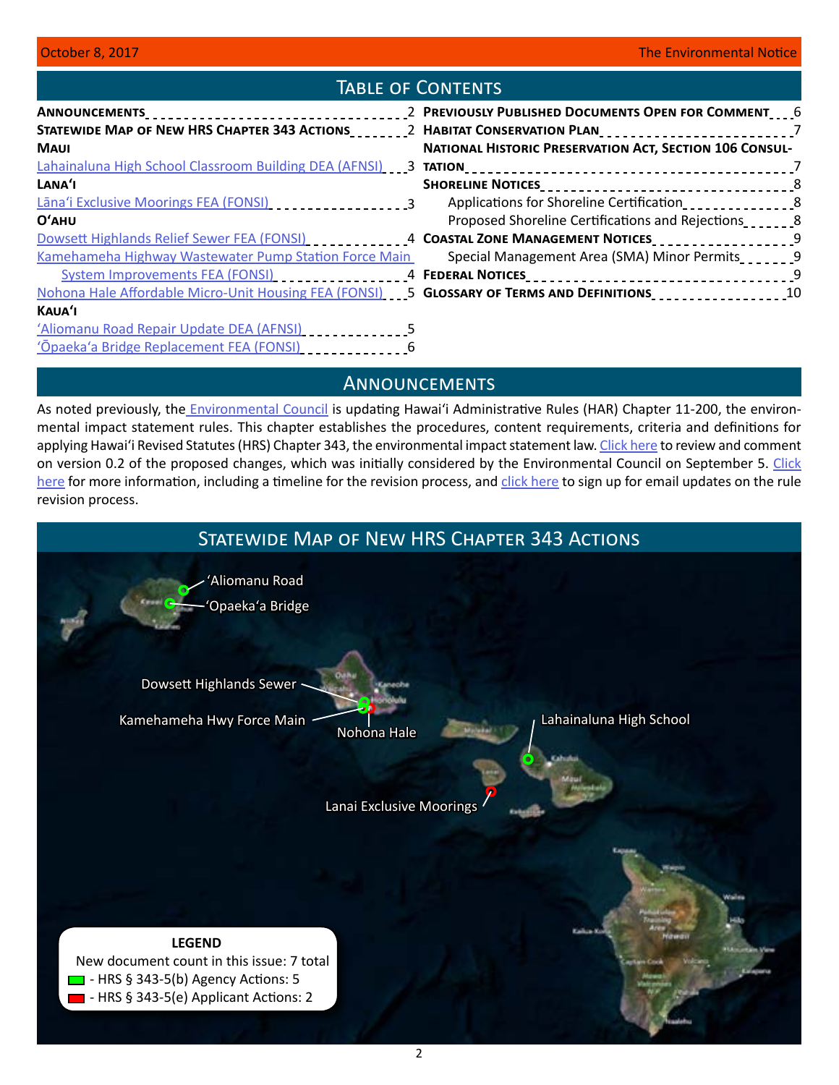# Table of Contents

| STATEWIDE MAP OF NEW HRS CHAPTER 343 ACTIONS_________2 HABITAT CONSERVATION PLAN___________________________7 |                                                                |  |
|--------------------------------------------------------------------------------------------------------------|----------------------------------------------------------------|--|
| <b>MAUI</b>                                                                                                  | <b>NATIONAL HISTORIC PRESERVATION ACT, SECTION 106 CONSUL-</b> |  |
|                                                                                                              |                                                                |  |
| LANA'I                                                                                                       |                                                                |  |
| Lāna'i Exclusive Moorings FEA (FONSI)                                                                        | Applications for Shoreline Certification___________________8   |  |
| <b>O'AHU</b>                                                                                                 | Proposed Shoreline Certifications and Rejections               |  |
| Dowsett Highlands Relief Sewer FEA (FONSI) ____________4 COASTAL ZONE MANAGEMENT NOTICES___________________9 |                                                                |  |
| Kamehameha Highway Wastewater Pump Station Force Main                                                        | Special Management Area (SMA) Minor Permits                    |  |
|                                                                                                              |                                                                |  |
| Nohona Hale Affordable Micro-Unit Housing FEA (FONSI) 5 GLOSSARY OF TERMS AND DEFINITIONS                    |                                                                |  |
| KAUA'I                                                                                                       |                                                                |  |
| 'Aliomanu Road Repair Update DEA (AFNSI)                                                                     |                                                                |  |
| 'Ōpaeka'a Bridge Replacement FEA (FONSI)                                                                     |                                                                |  |

# **ANNOUNCEMENTS**

As noted previously, the *Environmental Council* is updating Hawai'i Administrative Rules (HAR) Chapter 11-200, the environmental impact statement rules. This chapter establishes the procedures, content requirements, criteria and definitions for applying Hawai'i Revised Statutes (HRS) Chapter 343, the environmental impact statement law. [Click here](https://oeqc.civicomment.org/) to review and comment on version 0.2 of the proposed changes, which was initially considered by the Environmental Council on September 5. Click [here](http://health.hawaii.gov/oeqc/rules-update/) for more information, including a timeline for the revision process, and [click here](http://eepurl.com/cYjIuL) to sign up for email updates on the rule revision process.

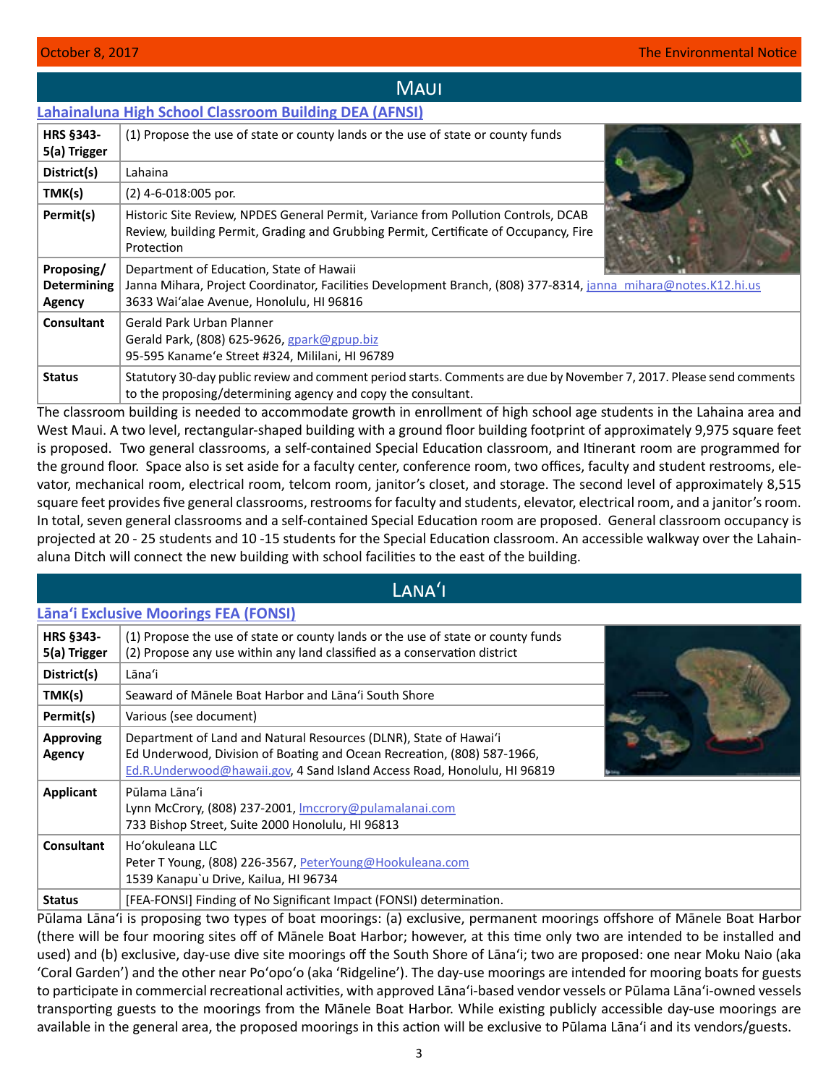## **MAUI**

## <span id="page-2-0"></span>**[Lahainaluna High School Classroom Building DEA \(AFNSI\)](http://oeqc2.doh.hawaii.gov/EA_EIS_Library/2017-10-08-MA-DEA-Lahainaluna-High-Classroom-Building.pdf)**

| <b>HRS §343-</b><br>5(a) Trigger                  | (1) Propose the use of state or county lands or the use of state or county funds                                                                                                                       |  |
|---------------------------------------------------|--------------------------------------------------------------------------------------------------------------------------------------------------------------------------------------------------------|--|
| District(s)                                       | Lahaina                                                                                                                                                                                                |  |
| TMK(s)                                            | $(2)$ 4-6-018:005 por.                                                                                                                                                                                 |  |
| Permit(s)                                         | Historic Site Review, NPDES General Permit, Variance from Pollution Controls, DCAB<br>Review, building Permit, Grading and Grubbing Permit, Certificate of Occupancy, Fire<br>Protection               |  |
| Proposing/<br><b>Determining</b><br><b>Agency</b> | Department of Education, State of Hawaii<br>Janna Mihara, Project Coordinator, Facilities Development Branch, (808) 377-8314, janna mihara@notes.K12.hi.us<br>3633 Wai'alae Avenue, Honolulu, HI 96816 |  |
| Consultant                                        | Gerald Park Urban Planner<br>Gerald Park, (808) 625-9626, gpark@gpup.biz<br>95-595 Kaname'e Street #324, Mililani, HI 96789                                                                            |  |
| <b>Status</b>                                     | Statutory 30-day public review and comment period starts. Comments are due by November 7, 2017. Please send comments<br>to the proposing/determining agency and copy the consultant.                   |  |

The classroom building is needed to accommodate growth in enrollment of high school age students in the Lahaina area and West Maui. A two level, rectangular-shaped building with a ground floor building footprint of approximately 9,975 square feet is proposed. Two general classrooms, a self-contained Special Education classroom, and Itinerant room are programmed for the ground floor. Space also is set aside for a faculty center, conference room, two offices, faculty and student restrooms, elevator, mechanical room, electrical room, telcom room, janitor's closet, and storage. The second level of approximately 8,515 square feet provides five general classrooms, restrooms for faculty and students, elevator, electrical room, and a janitor's room. In total, seven general classrooms and a self-contained Special Education room are proposed. General classroom occupancy is projected at 20 - 25 students and 10 -15 students for the Special Education classroom. An accessible walkway over the Lahainaluna Ditch will connect the new building with school facilities to the east of the building.

Lanaʻi

## **[Lānaʻi Exclusive Moorings FEA \(FONSI\)](http://oeqc2.doh.hawaii.gov/EA_EIS_Library/2017-10-08-LA-FEA-Lanai-Exclusive-Moorings.pdf)**

| <b>HRS §343-</b><br>5(a) Trigger  | (1) Propose the use of state or county lands or the use of state or county funds<br>(2) Propose any use within any land classified as a conservation district                                                            |  |
|-----------------------------------|--------------------------------------------------------------------------------------------------------------------------------------------------------------------------------------------------------------------------|--|
| District(s)                       | Lāna'i                                                                                                                                                                                                                   |  |
| TMK(s)                            | Seaward of Mānele Boat Harbor and Lāna'i South Shore                                                                                                                                                                     |  |
| Permit(s)                         | Various (see document)                                                                                                                                                                                                   |  |
| <b>Approving</b><br><b>Agency</b> | Department of Land and Natural Resources (DLNR), State of Hawai'i<br>Ed Underwood, Division of Boating and Ocean Recreation, (808) 587-1966,<br>Ed.R.Underwood@hawaii.gov, 4 Sand Island Access Road, Honolulu, HI 96819 |  |
| <b>Applicant</b>                  | Pūlama Lāna'i<br>Lynn McCrory, (808) 237-2001, Imccrory@pulamalanai.com<br>733 Bishop Street, Suite 2000 Honolulu, HI 96813                                                                                              |  |
| Consultant                        | Ho'okuleana LLC<br>Peter T Young, (808) 226-3567, PeterYoung@Hookuleana.com<br>1539 Kanapu`u Drive, Kailua, HI 96734                                                                                                     |  |
| <b>Status</b>                     | [FEA-FONSI] Finding of No Significant Impact (FONSI) determination.                                                                                                                                                      |  |

Pūlama Lānaʻi is proposing two types of boat moorings: (a) exclusive, permanent moorings offshore of Mānele Boat Harbor (there will be four mooring sites off of Mānele Boat Harbor; however, at this time only two are intended to be installed and used) and (b) exclusive, day-use dive site moorings off the South Shore of Lānaʻi; two are proposed: one near Moku Naio (aka 'Coral Garden') and the other near Poʻopoʻo (aka 'Ridgeline'). The day-use moorings are intended for mooring boats for guests to participate in commercial recreational activities, with approved Lānaʻi-based vendor vessels or Pūlama Lānaʻi-owned vessels transporting guests to the moorings from the Mānele Boat Harbor. While existing publicly accessible day-use moorings are available in the general area, the proposed moorings in this action will be exclusive to Pūlama Lānaʻi and its vendors/guests.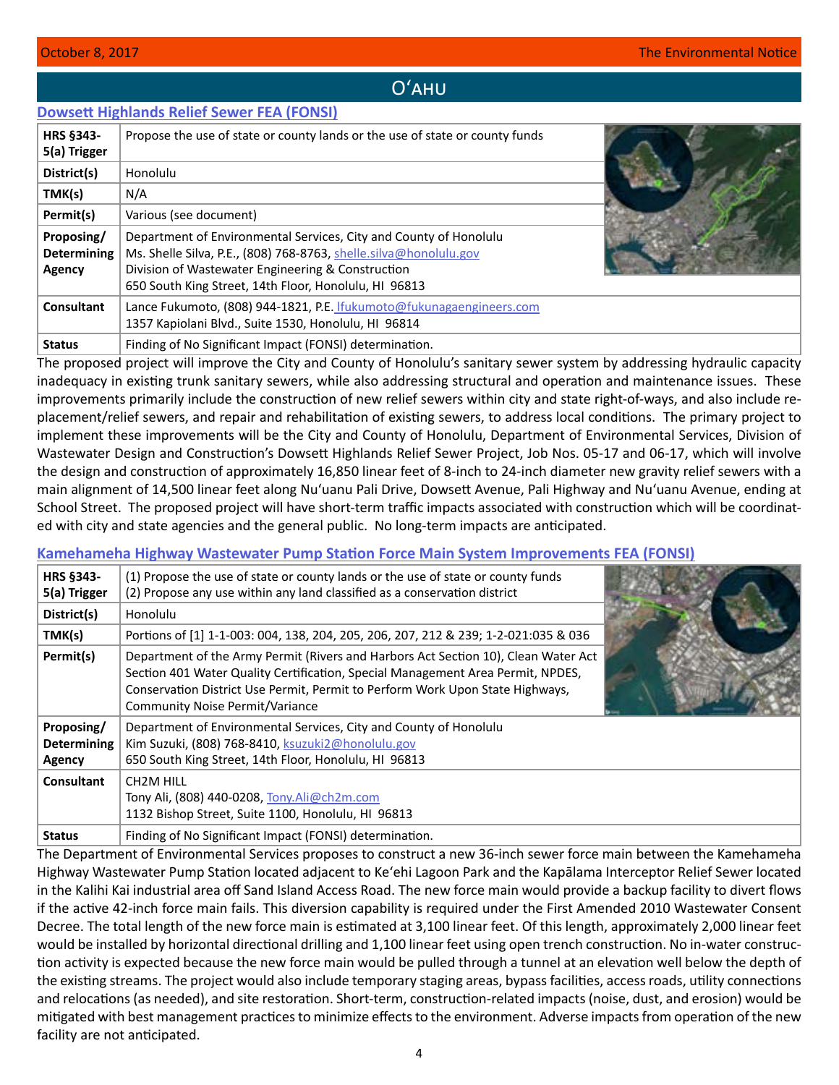# Oʻahu

## <span id="page-3-0"></span>**[Dowsett Highlands Relief Sewer FEA \(FONSI\)](http://oeqc2.doh.hawaii.gov/EA_EIS_Library/2017-10-08-OA-Dowsett-Highlands-Final-EA.pdfhttp://oeqc2.doh.hawaii.gov/EA_EIS_Library/2017-10-08-OA-Dowsett-Highlands-Final-EA.pdf)**

| HRS §343-<br>5(a) Trigger                  | Propose the use of state or county lands or the use of state or county funds                                                                                                                                                                         |  |
|--------------------------------------------|------------------------------------------------------------------------------------------------------------------------------------------------------------------------------------------------------------------------------------------------------|--|
| District(s)                                | Honolulu                                                                                                                                                                                                                                             |  |
| TMK(s)                                     | N/A                                                                                                                                                                                                                                                  |  |
| Permit(s)                                  | Various (see document)                                                                                                                                                                                                                               |  |
| Proposing/<br><b>Determining</b><br>Agency | Department of Environmental Services, City and County of Honolulu<br>Ms. Shelle Silva, P.E., (808) 768-8763, shelle.silva@honolulu.gov<br>Division of Wastewater Engineering & Construction<br>650 South King Street, 14th Floor, Honolulu, HI 96813 |  |
| Consultant                                 | Lance Fukumoto, (808) 944-1821, P.E. Ifukumoto@fukunagaengineers.com<br>1357 Kapiolani Blvd., Suite 1530, Honolulu, HI 96814                                                                                                                         |  |
| <b>Status</b>                              | Finding of No Significant Impact (FONSI) determination.                                                                                                                                                                                              |  |

The proposed project will improve the City and County of Honolulu's sanitary sewer system by addressing hydraulic capacity inadequacy in existing trunk sanitary sewers, while also addressing structural and operation and maintenance issues. These improvements primarily include the construction of new relief sewers within city and state right-of-ways, and also include replacement/relief sewers, and repair and rehabilitation of existing sewers, to address local conditions. The primary project to implement these improvements will be the City and County of Honolulu, Department of Environmental Services, Division of Wastewater Design and Construction's Dowsett Highlands Relief Sewer Project, Job Nos. 05-17 and 06-17, which will involve the design and construction of approximately 16,850 linear feet of 8-inch to 24-inch diameter new gravity relief sewers with a main alignment of 14,500 linear feet along Nu'uanu Pali Drive, Dowsett Avenue, Pali Highway and Nu'uanu Avenue, ending at School Street. The proposed project will have short-term traffic impacts associated with construction which will be coordinated with city and state agencies and the general public. No long-term impacts are anticipated.

## **[Kamehameha Highway Wastewater Pump Station Force Main System Improvements FEA \(FONSI\)](http://oeqc2.doh.hawaii.gov/EA_EIS_Library/2017-10-08-OA-FEA-Kamehameha-Highway-Wastewater-Pump-Station-Force-Main.pdf)**

| <b>HRS §343-</b><br>5(a) Trigger           | (1) Propose the use of state or county lands or the use of state or county funds<br>(2) Propose any use within any land classified as a conservation district                                                                                                                                    |  |
|--------------------------------------------|--------------------------------------------------------------------------------------------------------------------------------------------------------------------------------------------------------------------------------------------------------------------------------------------------|--|
| District(s)                                | Honolulu                                                                                                                                                                                                                                                                                         |  |
| TMK(s)                                     | Portions of [1] 1-1-003: 004, 138, 204, 205, 206, 207, 212 & 239; 1-2-021:035 & 036                                                                                                                                                                                                              |  |
| Permit(s)                                  | Department of the Army Permit (Rivers and Harbors Act Section 10), Clean Water Act<br>Section 401 Water Quality Certification, Special Management Area Permit, NPDES,<br>Conservation District Use Permit, Permit to Perform Work Upon State Highways,<br><b>Community Noise Permit/Variance</b> |  |
| Proposing/<br><b>Determining</b><br>Agency | Department of Environmental Services, City and County of Honolulu<br>Kim Suzuki, (808) 768-8410, ksuzuki2@honolulu.gov<br>650 South King Street, 14th Floor, Honolulu, HI 96813                                                                                                                  |  |
| <b>Consultant</b>                          | CH <sub>2</sub> M HILL<br>Tony Ali, (808) 440-0208, Tony.Ali@ch2m.com<br>1132 Bishop Street, Suite 1100, Honolulu, HI 96813                                                                                                                                                                      |  |
| <b>Status</b>                              | Finding of No Significant Impact (FONSI) determination.                                                                                                                                                                                                                                          |  |

The Department of Environmental Services proposes to construct a new 36-inch sewer force main between the Kamehameha Highway Wastewater Pump Station located adjacent to Keʻehi Lagoon Park and the Kapālama Interceptor Relief Sewer located in the Kalihi Kai industrial area off Sand Island Access Road. The new force main would provide a backup facility to divert flows if the active 42-inch force main fails. This diversion capability is required under the First Amended 2010 Wastewater Consent Decree. The total length of the new force main is estimated at 3,100 linear feet. Of this length, approximately 2,000 linear feet would be installed by horizontal directional drilling and 1,100 linear feet using open trench construction. No in-water construction activity is expected because the new force main would be pulled through a tunnel at an elevation well below the depth of the existing streams. The project would also include temporary staging areas, bypass facilities, access roads, utility connections and relocations (as needed), and site restoration. Short-term, construction-related impacts (noise, dust, and erosion) would be mitigated with best management practices to minimize effects to the environment. Adverse impacts from operation of the new facility are not anticipated.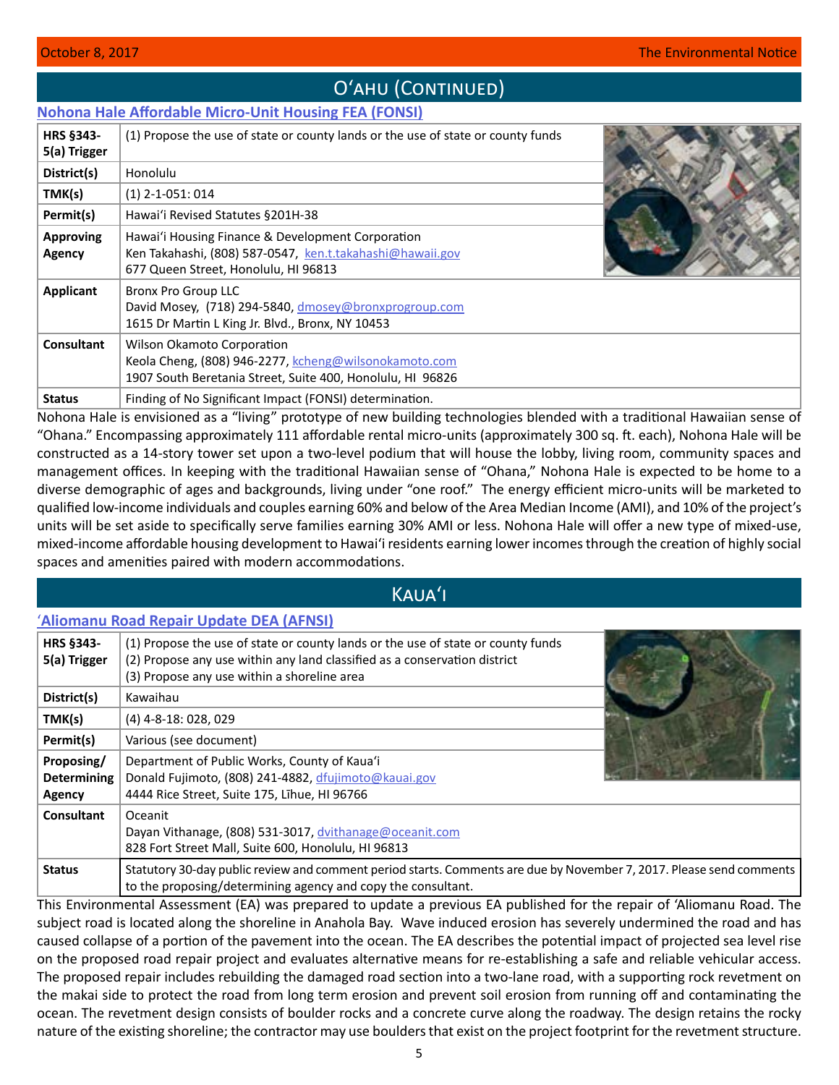# O'AHU (CONTINUED)

# <span id="page-4-0"></span>**[Nohona Hale Affordable Micro-Unit Housing FEA \(FONSI\)](http://oeqc2.doh.hawaii.gov/EA_EIS_Library/2017-10-08-OA-FEA-Nohona-Hale-Affordable-Micro-Unit-Housing.pdf)**

| HRS §343-<br>5(a) Trigger         | (1) Propose the use of state or county lands or the use of state or county funds                                                                       |  |
|-----------------------------------|--------------------------------------------------------------------------------------------------------------------------------------------------------|--|
| District(s)                       | Honolulu                                                                                                                                               |  |
| TMK(s)                            | $(1)$ 2-1-051: 014                                                                                                                                     |  |
| Permit(s)                         | Hawai'i Revised Statutes §201H-38                                                                                                                      |  |
| <b>Approving</b><br><b>Agency</b> | Hawai'i Housing Finance & Development Corporation<br>Ken Takahashi, (808) 587-0547, ken.t.takahashi@hawaii.gov<br>677 Queen Street, Honolulu, HI 96813 |  |
| <b>Applicant</b>                  | <b>Bronx Pro Group LLC</b><br>David Mosey, (718) 294-5840, dmosey@bronxprogroup.com<br>1615 Dr Martin L King Jr. Blvd., Bronx, NY 10453                |  |
| <b>Consultant</b>                 | Wilson Okamoto Corporation<br>Keola Cheng, (808) 946-2277, kcheng@wilsonokamoto.com<br>1907 South Beretania Street, Suite 400, Honolulu, HI 96826      |  |
| <b>Status</b>                     | Finding of No Significant Impact (FONSI) determination.                                                                                                |  |

Nohona Hale is envisioned as a "living" prototype of new building technologies blended with a traditional Hawaiian sense of "Ohana." Encompassing approximately 111 affordable rental micro-units (approximately 300 sq. ft. each), Nohona Hale will be constructed as a 14-story tower set upon a two-level podium that will house the lobby, living room, community spaces and management offices. In keeping with the traditional Hawaiian sense of "Ohana," Nohona Hale is expected to be home to a diverse demographic of ages and backgrounds, living under "one roof." The energy efficient micro-units will be marketed to qualified low-income individuals and couples earning 60% and below of the Area Median Income (AMI), and 10% of the project's units will be set aside to specifically serve families earning 30% AMI or less. Nohona Hale will offer a new type of mixed‐use, mixed‐income affordable housing development to Hawai'i residents earning lower incomes through the creation of highly social spaces and amenities paired with modern accommodations.

# Kauaʻi

## ʻ**[Aliomanu Road Repair Update DEA \(AFNSI\)](http://oeqc2.doh.hawaii.gov/EA_EIS_Library/2017-10-08-KA-DEA-Aliomanu-Road-Repair-Update.pdf)**

| <b>HRS §343-</b><br>5(a) Trigger           | (1) Propose the use of state or county lands or the use of state or county funds<br>(2) Propose any use within any land classified as a conservation district<br>(3) Propose any use within a shoreline area |  |
|--------------------------------------------|--------------------------------------------------------------------------------------------------------------------------------------------------------------------------------------------------------------|--|
| District(s)                                | Kawaihau                                                                                                                                                                                                     |  |
| TMK(s)                                     | $(4)$ 4-8-18: 028, 029                                                                                                                                                                                       |  |
| Permit(s)                                  | Various (see document)                                                                                                                                                                                       |  |
| Proposing/<br><b>Determining</b><br>Agency | Department of Public Works, County of Kaua'i<br>Donald Fujimoto, (808) 241-4882, dfujimoto@kauai.gov<br>4444 Rice Street, Suite 175, Lihue, HI 96766                                                         |  |
| Consultant                                 | Oceanit<br>Dayan Vithanage, (808) 531-3017, dvithanage@oceanit.com<br>828 Fort Street Mall, Suite 600, Honolulu, HI 96813                                                                                    |  |
| <b>Status</b>                              | Statutory 30-day public review and comment period starts. Comments are due by November 7, 2017. Please send comments<br>to the proposing/determining agency and copy the consultant.                         |  |

This Environmental Assessment (EA) was prepared to update a previous EA published for the repair of 'Aliomanu Road. The subject road is located along the shoreline in Anahola Bay. Wave induced erosion has severely undermined the road and has caused collapse of a portion of the pavement into the ocean. The EA describes the potential impact of projected sea level rise on the proposed road repair project and evaluates alternative means for re-establishing a safe and reliable vehicular access. The proposed repair includes rebuilding the damaged road section into a two-lane road, with a supporting rock revetment on the makai side to protect the road from long term erosion and prevent soil erosion from running off and contaminating the ocean. The revetment design consists of boulder rocks and a concrete curve along the roadway. The design retains the rocky nature of the existing shoreline; the contractor may use boulders that exist on the project footprint for the revetment structure.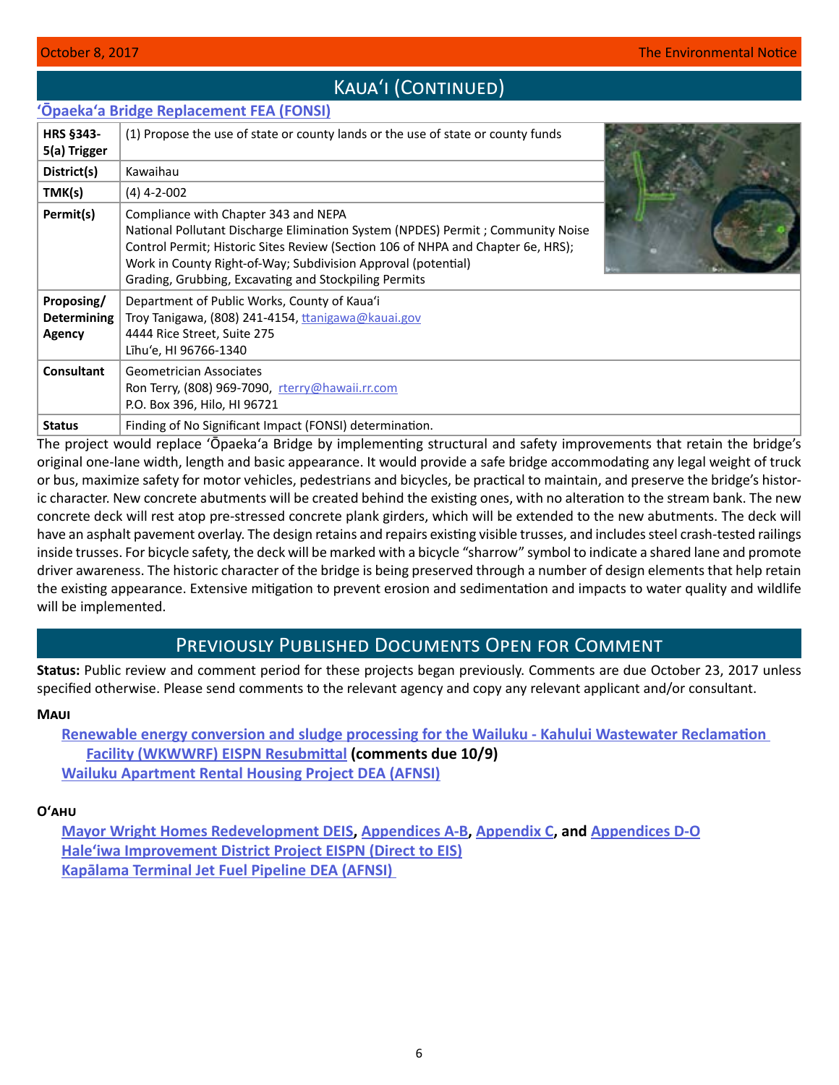# KAUA'I (CONTINUED)

## <span id="page-5-0"></span>**ʻŌpaeka[ʻa Bridge Replacement FEA \(FONSI\)](http://oeqc2.doh.hawaii.gov/EA_EIS_Library/2017-10-08-KA-FEA-Opaekaa-Bridge-Replacement.pdf)**

| <b>HRS §343-</b><br>5(a) Trigger           | (1) Propose the use of state or county lands or the use of state or county funds                                                                                                                                                                                                                                                      |  |
|--------------------------------------------|---------------------------------------------------------------------------------------------------------------------------------------------------------------------------------------------------------------------------------------------------------------------------------------------------------------------------------------|--|
| District(s)                                | Kawaihau                                                                                                                                                                                                                                                                                                                              |  |
| TMK(s)                                     | $(4)$ 4-2-002                                                                                                                                                                                                                                                                                                                         |  |
| Permit(s)                                  | Compliance with Chapter 343 and NEPA<br>National Pollutant Discharge Elimination System (NPDES) Permit; Community Noise<br>Control Permit; Historic Sites Review (Section 106 of NHPA and Chapter 6e, HRS);<br>Work in County Right-of-Way; Subdivision Approval (potential)<br>Grading, Grubbing, Excavating and Stockpiling Permits |  |
| Proposing/<br><b>Determining</b><br>Agency | Department of Public Works, County of Kaua'i<br>Troy Tanigawa, (808) 241-4154, tranigawa@kauai.gov<br>4444 Rice Street, Suite 275<br>Līhu'e, HI 96766-1340                                                                                                                                                                            |  |
| <b>Consultant</b>                          | Geometrician Associates<br>Ron Terry, (808) 969-7090, rterry@hawaii.rr.com<br>P.O. Box 396, Hilo, HI 96721                                                                                                                                                                                                                            |  |
| <b>Status</b>                              | Finding of No Significant Impact (FONSI) determination.                                                                                                                                                                                                                                                                               |  |

The project would replace ʻŌpaekaʻa Bridge by implementing structural and safety improvements that retain the bridge's original one-lane width, length and basic appearance. It would provide a safe bridge accommodating any legal weight of truck or bus, maximize safety for motor vehicles, pedestrians and bicycles, be practical to maintain, and preserve the bridge's historic character. New concrete abutments will be created behind the existing ones, with no alteration to the stream bank. The new concrete deck will rest atop pre-stressed concrete plank girders, which will be extended to the new abutments. The deck will have an asphalt pavement overlay. The design retains and repairs existing visible trusses, and includes steel crash-tested railings inside trusses. For bicycle safety, the deck will be marked with a bicycle "sharrow" symbol to indicate a shared lane and promote driver awareness. The historic character of the bridge is being preserved through a number of design elements that help retain the existing appearance. Extensive mitigation to prevent erosion and sedimentation and impacts to water quality and wildlife will be implemented.

# Previously Published Documents Open for Comment

**Status:** Public review and comment period for these projects began previously. Comments are due October 23, 2017 unless specified otherwise. Please send comments to the relevant agency and copy any relevant applicant and/or consultant.

## **Maui**

**[Renewable energy conversion and sludge processing for the Wailuku - Kahului Wastewater Reclamation](http://oeqc2.doh.hawaii.gov/EA_EIS_Library/2017-09-08-MA-2nd-EISPN-Renewable-Energy-Conversion-and-Sludge-Processing-for-the-Wailuku-Kahului-WWRF.pdf)  [Facility \(WKWWRF\) EISPN Resubmittal](http://oeqc2.doh.hawaii.gov/EA_EIS_Library/2017-09-08-MA-2nd-EISPN-Renewable-Energy-Conversion-and-Sludge-Processing-for-the-Wailuku-Kahului-WWRF.pdf) (comments due 10/9) [Wailuku Apartment Rental Housing Project DEA \(AFNSI\)](http://oeqc2.doh.hawaii.gov/EA_EIS_Library/2017-09-23-MA-DEA-Wailuku-Apartment-Rental-Housing.pdf)**

## **Oʻahu**

**[Mayor Wright Homes Redevelopment DEIS](http://oeqc2.doh.hawaii.gov/EA_EIS_Library/2017-09-08-OA-DEIS-Mayor-Wright-Homes.pdf), [Appendices A-B](http://oeqc2.doh.hawaii.gov/EA_EIS_Library/2017-09-08-OA-DEIS-Mayor-Wright-Homes-Appendices-A-B.pdf), [Appendix C](http://oeqc2.doh.hawaii.gov/EA_EIS_Library/2017-09-08-OA-DEIS-Mayor-Wright-Homes-Appendix-C.pdf), and [Appendices D-O](http://oeqc2.doh.hawaii.gov/EA_EIS_Library/2017-09-08-OA-DEIS-Mayor-Wright-Homes-Appendices-D-O.pdf) [Hale'iwa Improvement District Project EISPN \(Direct to EIS\)](http://oeqc2.doh.hawaii.gov/EA_EIS_Library/2017-09-23-OA-EISPN-Haleiwa-Improvement-District.pdf
) Kap[ālama Terminal Jet Fuel Pipeline DEA \(AFNSI\)](http://oeqc2.doh.hawaii.gov/EA_EIS_Library/2017-09-23-OA-DEA-Kapalama-Terminal-Jet-Fuel-Pipeline.pdf)**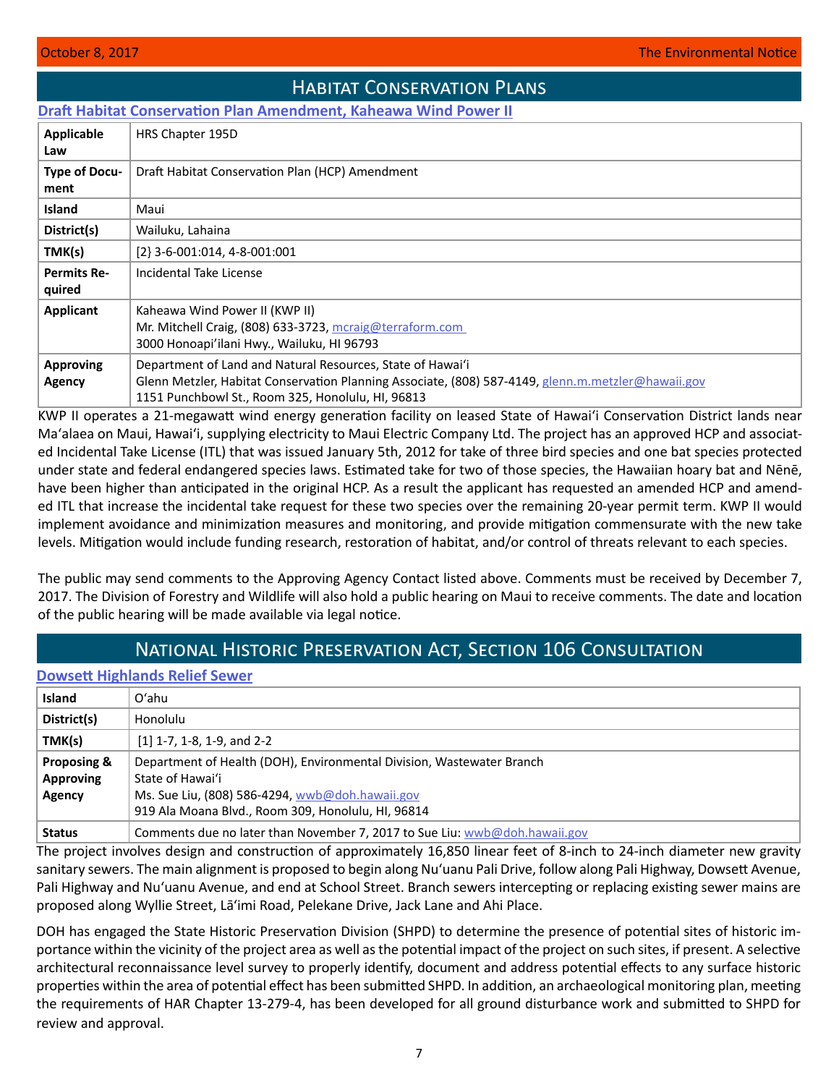# Habitat Conservation Plans

<span id="page-6-0"></span>**[Draft Habitat Conservation Plan Amendment, Kaheawa Wind Power II](http://oeqc2.doh.hawaii.gov/Other_TEN_Publications/2017-10-08-MA-DHCP-Kaheawa-Wind-Power-II.pdf)**

| <b>Applicable</b><br>Law     | HRS Chapter 195D                                                                                                                                                                                                      |
|------------------------------|-----------------------------------------------------------------------------------------------------------------------------------------------------------------------------------------------------------------------|
| Type of Docu-<br>ment        | Draft Habitat Conservation Plan (HCP) Amendment                                                                                                                                                                       |
| <b>Island</b>                | Maui                                                                                                                                                                                                                  |
| District(s)                  | Wailuku, Lahaina                                                                                                                                                                                                      |
| TMK(s)                       | $[2]$ 3-6-001:014, 4-8-001:001                                                                                                                                                                                        |
| <b>Permits Re-</b><br>quired | Incidental Take License                                                                                                                                                                                               |
| <b>Applicant</b>             | Kaheawa Wind Power II (KWP II)<br>Mr. Mitchell Craig, (808) 633-3723, mcraig@terraform.com<br>3000 Honoapi'ilani Hwy., Wailuku, HI 96793                                                                              |
| <b>Approving</b><br>Agency   | Department of Land and Natural Resources, State of Hawai'i<br>Glenn Metzler, Habitat Conservation Planning Associate, (808) 587-4149, glenn.m.metzler@hawaii.gov<br>1151 Punchbowl St., Room 325, Honolulu, HI, 96813 |

KWP II operates a 21-megawatt wind energy generation facility on leased State of Hawaiʻi Conservation District lands near Maʻalaea on Maui, Hawai'i, supplying electricity to Maui Electric Company Ltd. The project has an approved HCP and associated Incidental Take License (ITL) that was issued January 5th, 2012 for take of three bird species and one bat species protected under state and federal endangered species laws. Estimated take for two of those species, the Hawaiian hoary bat and Nēnē, have been higher than anticipated in the original HCP. As a result the applicant has requested an amended HCP and amended ITL that increase the incidental take request for these two species over the remaining 20-year permit term. KWP II would implement avoidance and minimization measures and monitoring, and provide mitigation commensurate with the new take levels. Mitigation would include funding research, restoration of habitat, and/or control of threats relevant to each species.

The public may send comments to the Approving Agency Contact listed above. Comments must be received by December 7, 2017. The Division of Forestry and Wildlife will also hold a public hearing on Maui to receive comments. The date and location of the public hearing will be made available via legal notice.

# National Historic Preservation Act, Section 106 Consultation

## **[Dowsett Highlands Relief Sewer](http://oeqc2.doh.hawaii.gov/Other_TEN_Publications/2017-10-08-OA-Section-106-Dowsett-Highlands-Relief-Sewer.pdf)**

| <b>Island</b>    | Oʻahu                                                                      |  |
|------------------|----------------------------------------------------------------------------|--|
| District(s)      | Honolulu                                                                   |  |
| TMK(s)           | $[1]$ 1-7, 1-8, 1-9, and 2-2                                               |  |
| Proposing &      | Department of Health (DOH), Environmental Division, Wastewater Branch      |  |
| <b>Approving</b> | State of Hawai'i                                                           |  |
| Agency           | Ms. Sue Liu, (808) 586-4294, wwb@doh.hawaii.gov                            |  |
|                  | 919 Ala Moana Blvd., Room 309, Honolulu, HI, 96814                         |  |
| <b>Status</b>    | Comments due no later than November 7, 2017 to Sue Liu: wwb@doh.hawaii.gov |  |

The project involves design and construction of approximately 16,850 linear feet of 8-inch to 24-inch diameter new gravity sanitary sewers. The main alignment is proposed to begin along Nuʻuanu Pali Drive, follow along Pali Highway, Dowsett Avenue, Pali Highway and Nuʻuanu Avenue, and end at School Street. Branch sewers intercepting or replacing existing sewer mains are proposed along Wyllie Street, Lā'imi Road, Pelekane Drive, Jack Lane and Ahi Place.

DOH has engaged the State Historic Preservation Division (SHPD) to determine the presence of potential sites of historic importance within the vicinity of the project area as well as the potential impact of the project on such sites, if present. A selective architectural reconnaissance level survey to properly identify, document and address potential effects to any surface historic properties within the area of potential effect has been submitted SHPD. In addition, an archaeological monitoring plan, meeting the requirements of HAR Chapter 13-279-4, has been developed for all ground disturbance work and submitted to SHPD for review and approval.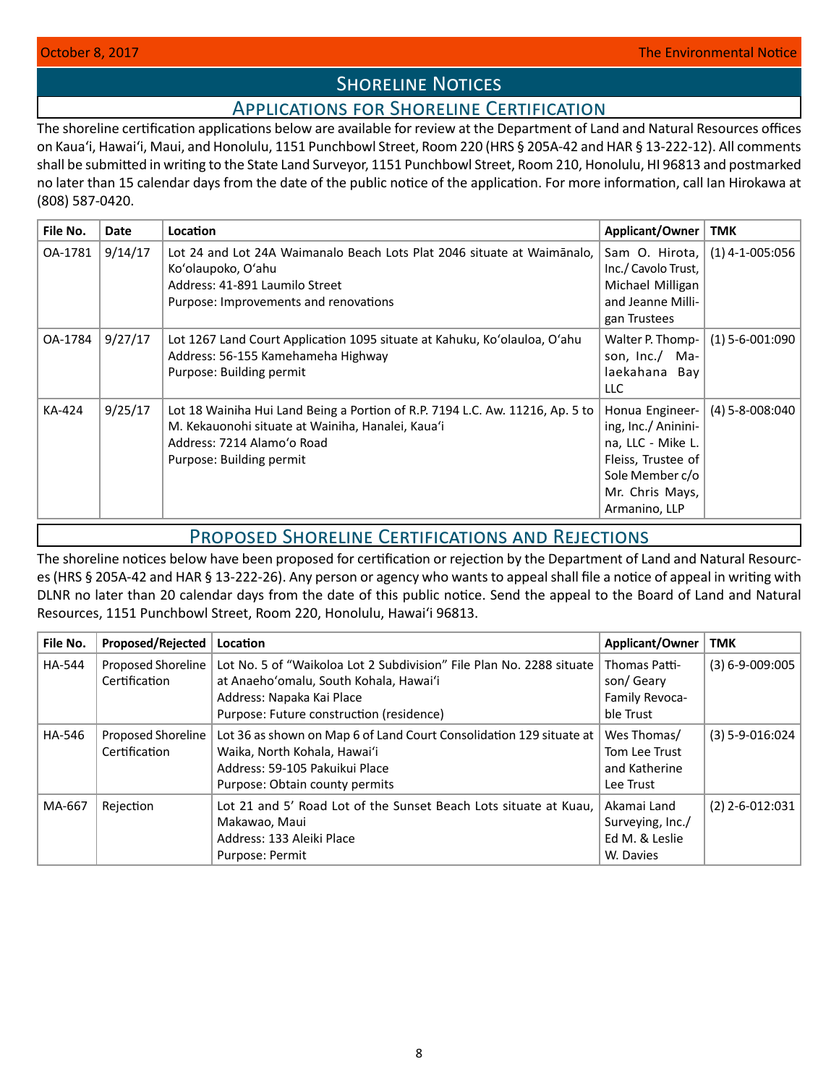# **SHORELINE NOTICES**

# Applications for Shoreline Certification

<span id="page-7-0"></span>The shoreline certification applications below are available for review at the Department of Land and Natural Resources offices on Kauaʻi, Hawaiʻi, Maui, and Honolulu, 1151 Punchbowl Street, Room 220 (HRS § 205A-42 and HAR § 13-222-12). All comments shall be submitted in writing to the State Land Surveyor, 1151 Punchbowl Street, Room 210, Honolulu, HI 96813 and postmarked no later than 15 calendar days from the date of the public notice of the application. For more information, call Ian Hirokawa at (808) 587-0420.

| File No. | <b>Date</b> | Location                                                                                                                                                                                     | Applicant/Owner                                                                                                                          | <b>TMK</b>        |
|----------|-------------|----------------------------------------------------------------------------------------------------------------------------------------------------------------------------------------------|------------------------------------------------------------------------------------------------------------------------------------------|-------------------|
| OA-1781  | 9/14/17     | Lot 24 and Lot 24A Waimanalo Beach Lots Plat 2046 situate at Waimanalo.<br>Ko'olaupoko, O'ahu<br>Address: 41-891 Laumilo Street<br>Purpose: Improvements and renovations                     | Sam O. Hirota,<br>Inc./ Cavolo Trust,<br>Michael Milligan<br>and Jeanne Milli-<br>gan Trustees                                           | $(1)$ 4-1-005:056 |
| OA-1784  | 9/27/17     | Lot 1267 Land Court Application 1095 situate at Kahuku, Ko'olauloa, O'ahu<br>Address: 56-155 Kamehameha Highway<br>Purpose: Building permit                                                  | Walter P. Thomp-<br>son, Inc./ Ma-<br>laekahana Bay<br><b>LLC</b>                                                                        | $(1)$ 5-6-001:090 |
| KA-424   | 9/25/17     | Lot 18 Wainiha Hui Land Being a Portion of R.P. 7194 L.C. Aw. 11216, Ap. 5 to<br>M. Kekauonohi situate at Wainiha, Hanalei, Kaua'i<br>Address: 7214 Alamo'o Road<br>Purpose: Building permit | Honua Engineer-<br>ing, Inc./ Aninini-<br>na, LLC - Mike L.<br>Fleiss, Trustee of<br>Sole Member c/o<br>Mr. Chris Mays,<br>Armanino, LLP | $(4)$ 5-8-008:040 |

# Proposed Shoreline Certifications and Rejections

The shoreline notices below have been proposed for certification or rejection by the Department of Land and Natural Resources (HRS § 205A-42 and HAR § 13-222-26). Any person or agency who wants to appeal shall file a notice of appeal in writing with DLNR no later than 20 calendar days from the date of this public notice. Send the appeal to the Board of Land and Natural Resources, 1151 Punchbowl Street, Room 220, Honolulu, Hawai'i 96813.

| File No.      | Proposed/Rejected                   | Location                                                                                                                                                                                | Applicant/Owner                                                | <b>TMK</b>            |
|---------------|-------------------------------------|-----------------------------------------------------------------------------------------------------------------------------------------------------------------------------------------|----------------------------------------------------------------|-----------------------|
| <b>HA-544</b> | Proposed Shoreline<br>Certification | Lot No. 5 of "Waikoloa Lot 2 Subdivision" File Plan No. 2288 situate<br>at Anaeho'omalu, South Kohala, Hawai'i<br>Address: Napaka Kai Place<br>Purpose: Future construction (residence) | Thomas Patti-<br>son/Geary<br>Family Revoca-<br>ble Trust      | $(3) 6 - 9 - 009:005$ |
| <b>HA-546</b> | Proposed Shoreline<br>Certification | Lot 36 as shown on Map 6 of Land Court Consolidation 129 situate at  <br>Waika, North Kohala, Hawai'i<br>Address: 59-105 Pakuikui Place<br>Purpose: Obtain county permits               | Wes Thomas/<br>Tom Lee Trust<br>and Katherine<br>Lee Trust     | $(3)$ 5-9-016:024     |
| MA-667        | Rejection                           | Lot 21 and 5' Road Lot of the Sunset Beach Lots situate at Kuau,<br>Makawao, Maui<br>Address: 133 Aleiki Place<br>Purpose: Permit                                                       | Akamai Land<br>Surveying, Inc./<br>Ed M. & Leslie<br>W. Davies | $(2)$ 2-6-012:031     |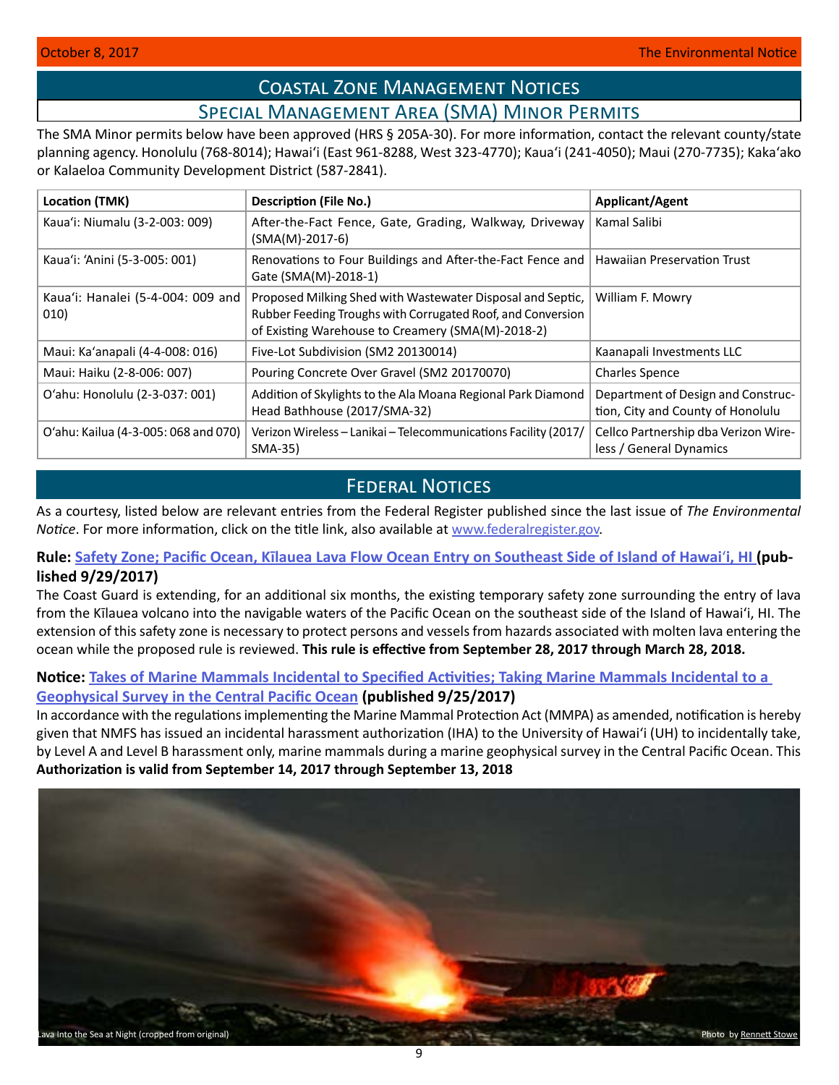# Coastal Zone Management Notices Special Management Area (SMA) Minor Permits

<span id="page-8-0"></span>The SMA Minor permits below have been approved (HRS § 205A-30). For more information, contact the relevant county/state planning agency. Honolulu (768-8014); Hawaiʻi (East 961-8288, West 323-4770); Kauaʻi (241-4050); Maui (270-7735); Kakaʻako or Kalaeloa Community Development District (587-2841).

| Location (TMK)                            | <b>Description (File No.)</b>                                                                                                                                                  | <b>Applicant/Agent</b>                                                  |
|-------------------------------------------|--------------------------------------------------------------------------------------------------------------------------------------------------------------------------------|-------------------------------------------------------------------------|
| Kaua'i: Niumalu (3-2-003: 009)            | After-the-Fact Fence, Gate, Grading, Walkway, Driveway<br>$(SMA(M)-2017-6)$                                                                                                    | Kamal Salibi                                                            |
| Kaua'i: 'Anini (5-3-005: 001)             | Renovations to Four Buildings and After-the-Fact Fence and  <br>Gate (SMA(M)-2018-1)                                                                                           | <b>Hawaiian Preservation Trust</b>                                      |
| Kaua'i: Hanalei (5-4-004: 009 and<br>010) | Proposed Milking Shed with Wastewater Disposal and Septic,<br>Rubber Feeding Troughs with Corrugated Roof, and Conversion<br>of Existing Warehouse to Creamery (SMA(M)-2018-2) | William F. Mowry                                                        |
| Maui: Ka'anapali (4-4-008: 016)           | Five-Lot Subdivision (SM2 20130014)                                                                                                                                            | Kaanapali Investments LLC                                               |
| Maui: Haiku (2-8-006: 007)                | Pouring Concrete Over Gravel (SM2 20170070)                                                                                                                                    | <b>Charles Spence</b>                                                   |
| O'ahu: Honolulu (2-3-037: 001)            | Addition of Skylights to the Ala Moana Regional Park Diamond<br>Head Bathhouse (2017/SMA-32)                                                                                   | Department of Design and Construc-<br>tion, City and County of Honolulu |
| O'ahu: Kailua (4-3-005: 068 and 070)      | Verizon Wireless - Lanikai - Telecommunications Facility (2017/<br>SMA-35)                                                                                                     | Cellco Partnership dba Verizon Wire-<br>less / General Dynamics         |

# **FEDERAL NOTICES**

As a courtesy, listed below are relevant entries from the Federal Register published since the last issue of *The Environmental Notice*. For more information, click on the title link, also available at [www.federalregister.gov](http://www.federalregister.gov).

# **Rule: [Safety Zone; Pacific Ocean, Kīlauea Lava Flow Ocean Entry on Southeast Side of Island of Hawai](https://www.federalregister.gov/documents/2017/09/29/2017-20902/safety-zone-pacific-ocean-kilauea-lava-flow-ocean-entry-on-southeast-side-of-island-of-hawaii-hi)**ʻ**i, HI (published 9/29/2017)**

The Coast Guard is extending, for an additional six months, the existing temporary safety zone surrounding the entry of lava from the Kīlauea volcano into the navigable waters of the Pacific Ocean on the southeast side of the Island of Hawaiʻi, HI. The extension of this safety zone is necessary to protect persons and vessels from hazards associated with molten lava entering the ocean while the proposed rule is reviewed. **This rule is effective from September 28, 2017 through March 28, 2018.**

# **Notice: [Takes of Marine Mammals Incidental to Specified Activities; Taking Marine Mammals Incidental to a](https://www.federalregister.gov/documents/2017/09/25/2017-20362/takes-of-marine-mammals-incidental-to-specified-activities-taking-marine-mammals-incidental-to-a)  [Geophysical Survey in the Central Pacific Ocean](https://www.federalregister.gov/documents/2017/09/25/2017-20362/takes-of-marine-mammals-incidental-to-specified-activities-taking-marine-mammals-incidental-to-a) (published 9/25/2017)**

In accordance with the regulations implementing the Marine Mammal Protection Act (MMPA) as amended, notification is hereby given that NMFS has issued an incidental harassment authorization (IHA) to the University of Hawaiʻi (UH) to incidentally take, by Level A and Level B harassment only, marine mammals during a marine geophysical survey in the Central Pacific Ocean. This **Authorization is valid from September 14, 2017 through September 13, 2018**